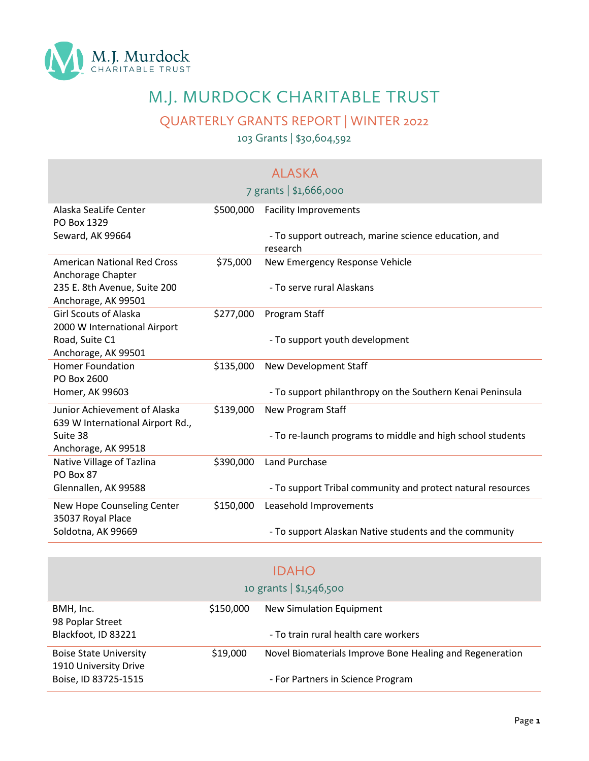

## M.J. MURDOCK CHARITABLE TRUST

QUARTERLY GRANTS REPORT | WINTER 2022

103 Grants | \$30,604,592

|                                                                  |           | <b>ALASKA</b>                                                    |
|------------------------------------------------------------------|-----------|------------------------------------------------------------------|
|                                                                  |           | 7 grants   \$1,666,000                                           |
| Alaska SeaLife Center<br>PO Box 1329                             | \$500,000 | <b>Facility Improvements</b>                                     |
| Seward, AK 99664                                                 |           | - To support outreach, marine science education, and<br>research |
| <b>American National Red Cross</b><br>Anchorage Chapter          | \$75,000  | New Emergency Response Vehicle                                   |
| 235 E. 8th Avenue, Suite 200<br>Anchorage, AK 99501              |           | - To serve rural Alaskans                                        |
| <b>Girl Scouts of Alaska</b><br>2000 W International Airport     | \$277,000 | Program Staff                                                    |
| Road, Suite C1<br>Anchorage, AK 99501                            |           | - To support youth development                                   |
| <b>Homer Foundation</b><br>PO Box 2600                           | \$135,000 | <b>New Development Staff</b>                                     |
| Homer, AK 99603                                                  |           | - To support philanthropy on the Southern Kenai Peninsula        |
| Junior Achievement of Alaska<br>639 W International Airport Rd., | \$139,000 | New Program Staff                                                |
| Suite 38<br>Anchorage, AK 99518                                  |           | - To re-launch programs to middle and high school students       |
| Native Village of Tazlina<br>PO Box 87                           | \$390,000 | <b>Land Purchase</b>                                             |
| Glennallen, AK 99588                                             |           | - To support Tribal community and protect natural resources      |
| New Hope Counseling Center<br>35037 Royal Place                  | \$150,000 | Leasehold Improvements                                           |
| Soldotna, AK 99669                                               |           | - To support Alaskan Native students and the community           |

| <b>IDAHO</b><br>10 grants $  $1,546,500$               |           |                                                          |  |
|--------------------------------------------------------|-----------|----------------------------------------------------------|--|
| BMH, Inc.<br>98 Poplar Street                          | \$150,000 | New Simulation Equipment                                 |  |
| Blackfoot, ID 83221                                    |           | - To train rural health care workers                     |  |
| <b>Boise State University</b><br>1910 University Drive | \$19,000  | Novel Biomaterials Improve Bone Healing and Regeneration |  |
| Boise, ID 83725-1515                                   |           | - For Partners in Science Program                        |  |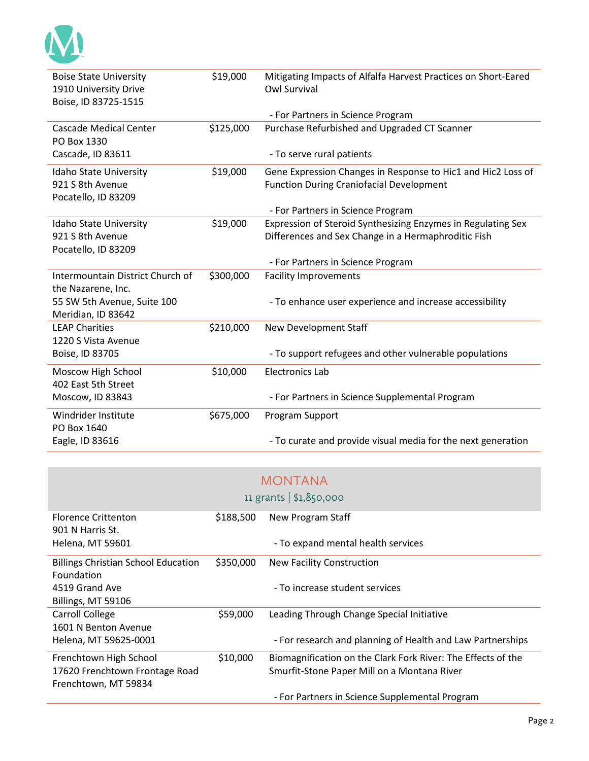| <b>Boise State University</b>    | \$19,000  | Mitigating Impacts of Alfalfa Harvest Practices on Short-Eared |
|----------------------------------|-----------|----------------------------------------------------------------|
| 1910 University Drive            |           | <b>Owl Survival</b>                                            |
| Boise, ID 83725-1515             |           |                                                                |
|                                  |           | - For Partners in Science Program                              |
| <b>Cascade Medical Center</b>    | \$125,000 | Purchase Refurbished and Upgraded CT Scanner                   |
| PO Box 1330                      |           |                                                                |
| Cascade, ID 83611                |           | - To serve rural patients                                      |
| Idaho State University           | \$19,000  | Gene Expression Changes in Response to Hic1 and Hic2 Loss of   |
| 921 S 8th Avenue                 |           | <b>Function During Craniofacial Development</b>                |
| Pocatello, ID 83209              |           |                                                                |
|                                  |           | - For Partners in Science Program                              |
| Idaho State University           | \$19,000  | Expression of Steroid Synthesizing Enzymes in Regulating Sex   |
| 921 S 8th Avenue                 |           | Differences and Sex Change in a Hermaphroditic Fish            |
| Pocatello, ID 83209              |           |                                                                |
|                                  |           | - For Partners in Science Program                              |
| Intermountain District Church of | \$300,000 | <b>Facility Improvements</b>                                   |
| the Nazarene, Inc.               |           |                                                                |
| 55 SW 5th Avenue, Suite 100      |           | - To enhance user experience and increase accessibility        |
| Meridian, ID 83642               |           |                                                                |
| <b>LEAP Charities</b>            | \$210,000 | New Development Staff                                          |
| 1220 S Vista Avenue              |           |                                                                |
| Boise, ID 83705                  |           | - To support refugees and other vulnerable populations         |
| Moscow High School               | \$10,000  | <b>Electronics Lab</b>                                         |
| 402 East 5th Street              |           |                                                                |
| Moscow, ID 83843                 |           | - For Partners in Science Supplemental Program                 |
| Windrider Institute              | \$675,000 | Program Support                                                |
| PO Box 1640                      |           |                                                                |
| Eagle, ID 83616                  |           | - To curate and provide visual media for the next generation   |

|                                                                                  |           | <b>MONTANA</b>                                                                                              |
|----------------------------------------------------------------------------------|-----------|-------------------------------------------------------------------------------------------------------------|
|                                                                                  |           | 11 grants $  $1,850,000$                                                                                    |
| <b>Florence Crittenton</b><br>901 N Harris St.                                   | \$188,500 | New Program Staff                                                                                           |
| <b>Helena, MT 59601</b>                                                          |           | - To expand mental health services                                                                          |
| <b>Billings Christian School Education</b><br>Foundation                         | \$350,000 | <b>New Facility Construction</b>                                                                            |
| 4519 Grand Ave<br>Billings, MT 59106                                             |           | - To increase student services                                                                              |
| Carroll College<br>1601 N Benton Avenue                                          | \$59,000  | Leading Through Change Special Initiative                                                                   |
| Helena, MT 59625-0001                                                            |           | - For research and planning of Health and Law Partnerships                                                  |
| Frenchtown High School<br>17620 Frenchtown Frontage Road<br>Frenchtown, MT 59834 | \$10,000  | Biomagnification on the Clark Fork River: The Effects of the<br>Smurfit-Stone Paper Mill on a Montana River |
|                                                                                  |           | - For Partners in Science Supplemental Program                                                              |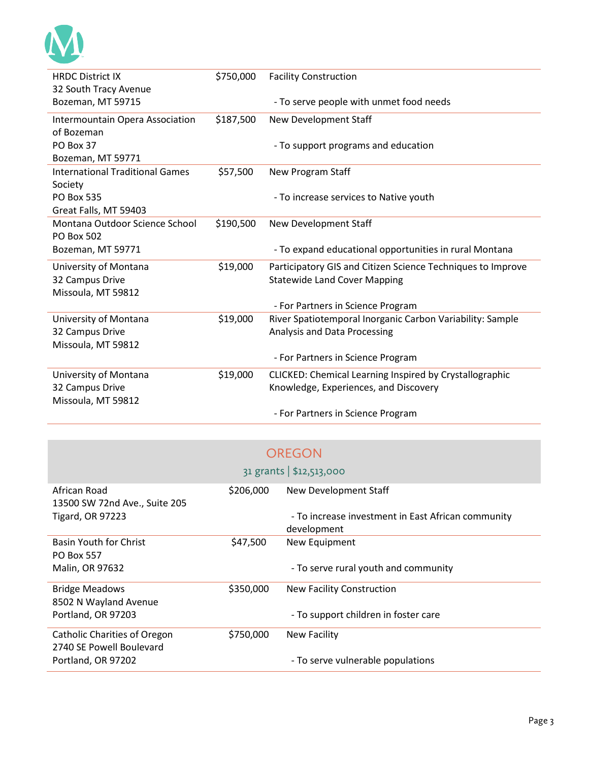| <b>HRDC District IX</b>                | \$750,000 | <b>Facility Construction</b>                                |
|----------------------------------------|-----------|-------------------------------------------------------------|
| 32 South Tracy Avenue                  |           |                                                             |
| Bozeman, MT 59715                      |           | - To serve people with unmet food needs                     |
| Intermountain Opera Association        | \$187,500 | New Development Staff                                       |
| of Bozeman                             |           |                                                             |
| PO Box 37                              |           | - To support programs and education                         |
| Bozeman, MT 59771                      |           |                                                             |
| <b>International Traditional Games</b> | \$57,500  | New Program Staff                                           |
| Society                                |           |                                                             |
| <b>PO Box 535</b>                      |           | - To increase services to Native youth                      |
| Great Falls, MT 59403                  |           |                                                             |
| Montana Outdoor Science School         | \$190,500 | New Development Staff                                       |
| <b>PO Box 502</b>                      |           |                                                             |
| Bozeman, MT 59771                      |           | - To expand educational opportunities in rural Montana      |
| University of Montana                  | \$19,000  | Participatory GIS and Citizen Science Techniques to Improve |
| 32 Campus Drive                        |           | <b>Statewide Land Cover Mapping</b>                         |
| Missoula, MT 59812                     |           |                                                             |
|                                        |           | - For Partners in Science Program                           |
| University of Montana                  | \$19,000  | River Spatiotemporal Inorganic Carbon Variability: Sample   |
| 32 Campus Drive                        |           | Analysis and Data Processing                                |
| Missoula, MT 59812                     |           |                                                             |
|                                        |           | - For Partners in Science Program                           |
| University of Montana                  | \$19,000  | CLICKED: Chemical Learning Inspired by Crystallographic     |
| 32 Campus Drive                        |           | Knowledge, Experiences, and Discovery                       |
| Missoula, MT 59812                     |           |                                                             |
|                                        |           | - For Partners in Science Program                           |

|                                                                 |           | OREGON                                                            |
|-----------------------------------------------------------------|-----------|-------------------------------------------------------------------|
|                                                                 |           | 31 grants   \$12,513,000                                          |
| African Road<br>13500 SW 72nd Ave., Suite 205                   | \$206,000 | New Development Staff                                             |
| <b>Tigard, OR 97223</b>                                         |           | - To increase investment in East African community<br>development |
| <b>Basin Youth for Christ</b><br><b>PO Box 557</b>              | \$47,500  | New Equipment                                                     |
| Malin, OR 97632                                                 |           | - To serve rural youth and community                              |
| <b>Bridge Meadows</b><br>8502 N Wayland Avenue                  | \$350,000 | <b>New Facility Construction</b>                                  |
| Portland, OR 97203                                              |           | - To support children in foster care                              |
| <b>Catholic Charities of Oregon</b><br>2740 SE Powell Boulevard | \$750,000 | <b>New Facility</b>                                               |
| Portland, OR 97202                                              |           | - To serve vulnerable populations                                 |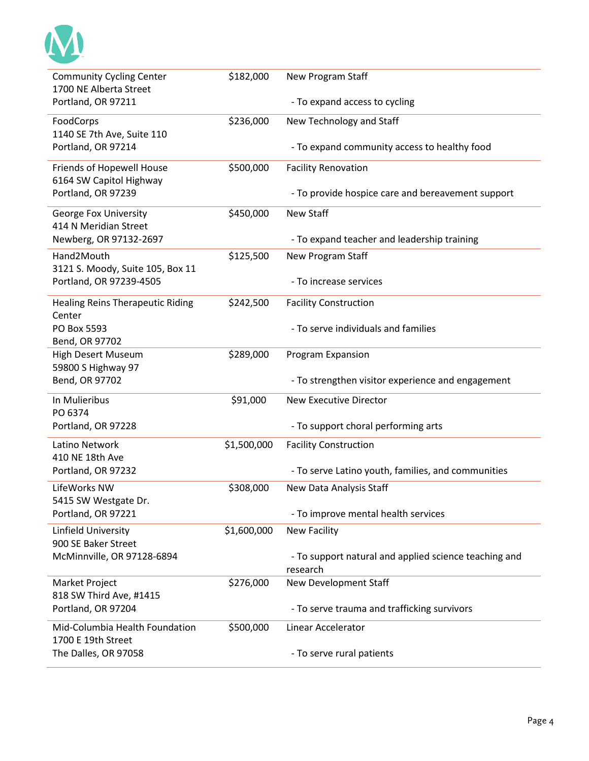| <b>Community Cycling Center</b>         | \$182,000   | New Program Staff                                                 |
|-----------------------------------------|-------------|-------------------------------------------------------------------|
| 1700 NE Alberta Street                  |             |                                                                   |
| Portland, OR 97211                      |             | - To expand access to cycling                                     |
| FoodCorps                               | \$236,000   | New Technology and Staff                                          |
| 1140 SE 7th Ave, Suite 110              |             |                                                                   |
| Portland, OR 97214                      |             | - To expand community access to healthy food                      |
| Friends of Hopewell House               | \$500,000   | <b>Facility Renovation</b>                                        |
| 6164 SW Capitol Highway                 |             |                                                                   |
| Portland, OR 97239                      |             | - To provide hospice care and bereavement support                 |
| George Fox University                   | \$450,000   | <b>New Staff</b>                                                  |
| 414 N Meridian Street                   |             |                                                                   |
| Newberg, OR 97132-2697                  |             | - To expand teacher and leadership training                       |
| Hand2Mouth                              | \$125,500   | New Program Staff                                                 |
| 3121 S. Moody, Suite 105, Box 11        |             |                                                                   |
| Portland, OR 97239-4505                 |             | - To increase services                                            |
| <b>Healing Reins Therapeutic Riding</b> | \$242,500   | <b>Facility Construction</b>                                      |
| Center                                  |             |                                                                   |
| PO Box 5593                             |             | - To serve individuals and families                               |
| Bend, OR 97702                          |             |                                                                   |
| <b>High Desert Museum</b>               | \$289,000   | Program Expansion                                                 |
| 59800 S Highway 97                      |             |                                                                   |
| Bend, OR 97702                          |             | - To strengthen visitor experience and engagement                 |
| In Mulieribus                           | \$91,000    | <b>New Executive Director</b>                                     |
| PO 6374                                 |             |                                                                   |
| Portland, OR 97228                      |             | - To support choral performing arts                               |
| Latino Network                          | \$1,500,000 | <b>Facility Construction</b>                                      |
| 410 NE 18th Ave                         |             |                                                                   |
| Portland, OR 97232                      |             | - To serve Latino youth, families, and communities                |
| LifeWorks NW                            | \$308,000   | New Data Analysis Staff                                           |
| 5415 SW Westgate Dr.                    |             |                                                                   |
| Portland, OR 97221                      |             | - To improve mental health services                               |
| Linfield University                     | \$1,600,000 | <b>New Facility</b>                                               |
| 900 SE Baker Street                     |             |                                                                   |
| McMinnville, OR 97128-6894              |             | - To support natural and applied science teaching and<br>research |
| Market Project                          | \$276,000   | New Development Staff                                             |
| 818 SW Third Ave, #1415                 |             |                                                                   |
| Portland, OR 97204                      |             | - To serve trauma and trafficking survivors                       |
| Mid-Columbia Health Foundation          | \$500,000   | Linear Accelerator                                                |
| 1700 E 19th Street                      |             |                                                                   |
| The Dalles, OR 97058                    |             | - To serve rural patients                                         |
|                                         |             |                                                                   |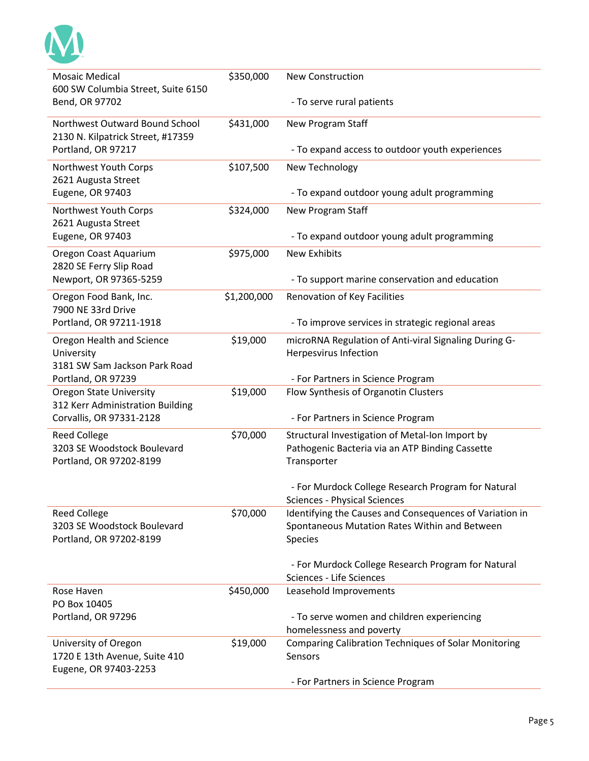| <b>Mosaic Medical</b><br>600 SW Columbia Street, Suite 6150         | \$350,000   | <b>New Construction</b>                                                                            |
|---------------------------------------------------------------------|-------------|----------------------------------------------------------------------------------------------------|
| Bend, OR 97702                                                      |             | - To serve rural patients                                                                          |
| Northwest Outward Bound School<br>2130 N. Kilpatrick Street, #17359 | \$431,000   | New Program Staff                                                                                  |
| Portland, OR 97217                                                  |             | - To expand access to outdoor youth experiences                                                    |
| Northwest Youth Corps<br>2621 Augusta Street                        | \$107,500   | New Technology                                                                                     |
| Eugene, OR 97403                                                    |             | - To expand outdoor young adult programming                                                        |
| Northwest Youth Corps<br>2621 Augusta Street                        | \$324,000   | New Program Staff                                                                                  |
| Eugene, OR 97403                                                    |             | - To expand outdoor young adult programming                                                        |
| Oregon Coast Aquarium                                               | \$975,000   | <b>New Exhibits</b>                                                                                |
| 2820 SE Ferry Slip Road<br>Newport, OR 97365-5259                   |             | - To support marine conservation and education                                                     |
| Oregon Food Bank, Inc.<br>7900 NE 33rd Drive                        | \$1,200,000 | Renovation of Key Facilities                                                                       |
| Portland, OR 97211-1918                                             |             | - To improve services in strategic regional areas                                                  |
| Oregon Health and Science<br>University                             | \$19,000    | microRNA Regulation of Anti-viral Signaling During G-<br>Herpesvirus Infection                     |
| 3181 SW Sam Jackson Park Road                                       |             |                                                                                                    |
| Portland, OR 97239                                                  |             | - For Partners in Science Program                                                                  |
| <b>Oregon State University</b><br>312 Kerr Administration Building  | \$19,000    | Flow Synthesis of Organotin Clusters                                                               |
| Corvallis, OR 97331-2128                                            |             | - For Partners in Science Program                                                                  |
| <b>Reed College</b><br>3203 SE Woodstock Boulevard                  | \$70,000    | Structural Investigation of Metal-Ion Import by<br>Pathogenic Bacteria via an ATP Binding Cassette |
| Portland, OR 97202-8199                                             |             | Transporter                                                                                        |
|                                                                     |             | - For Murdock College Research Program for Natural                                                 |
|                                                                     |             | <b>Sciences - Physical Sciences</b>                                                                |
| <b>Reed College</b>                                                 | \$70,000    | Identifying the Causes and Consequences of Variation in                                            |
| 3203 SE Woodstock Boulevard                                         |             | Spontaneous Mutation Rates Within and Between                                                      |
| Portland, OR 97202-8199                                             |             | Species                                                                                            |
|                                                                     |             | - For Murdock College Research Program for Natural<br>Sciences - Life Sciences                     |
| Rose Haven                                                          | \$450,000   | Leasehold Improvements                                                                             |
| PO Box 10405                                                        |             |                                                                                                    |
| Portland, OR 97296                                                  |             | - To serve women and children experiencing                                                         |
|                                                                     |             | homelessness and poverty                                                                           |
| University of Oregon                                                | \$19,000    | <b>Comparing Calibration Techniques of Solar Monitoring</b>                                        |
| 1720 E 13th Avenue, Suite 410<br>Eugene, OR 97403-2253              |             | Sensors                                                                                            |
|                                                                     |             | - For Partners in Science Program                                                                  |
|                                                                     |             |                                                                                                    |

M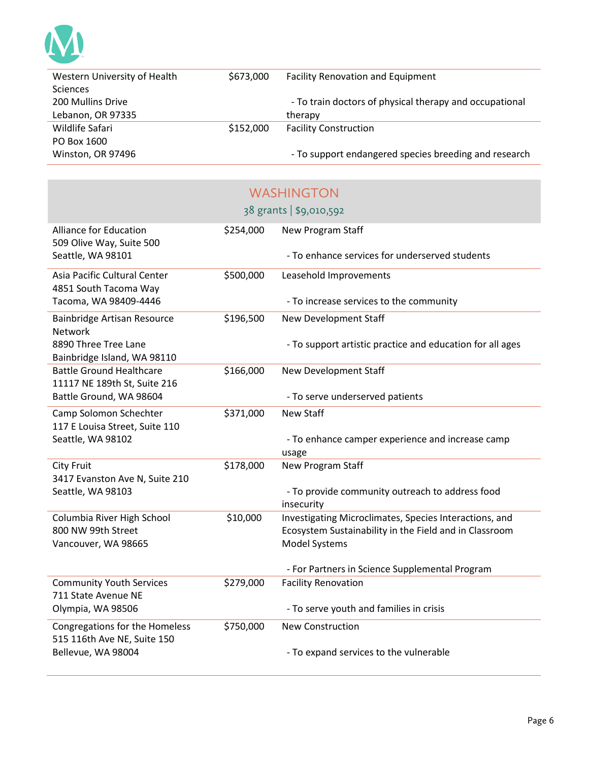

| Western University of Health | \$673,000 | <b>Facility Renovation and Equipment</b>                |
|------------------------------|-----------|---------------------------------------------------------|
| <b>Sciences</b>              |           |                                                         |
| 200 Mullins Drive            |           | - To train doctors of physical therapy and occupational |
| Lebanon, OR 97335            |           | therapy                                                 |
| Wildlife Safari              | \$152,000 | <b>Facility Construction</b>                            |
| PO Box 1600                  |           |                                                         |
| Winston, OR 97496            |           | - To support endangered species breeding and research   |

|                                                                 |           | <b>WASHINGTON</b>                                                                                                |
|-----------------------------------------------------------------|-----------|------------------------------------------------------------------------------------------------------------------|
|                                                                 |           | 38 grants   \$9,010,592                                                                                          |
| <b>Alliance for Education</b><br>509 Olive Way, Suite 500       | \$254,000 | New Program Staff                                                                                                |
| Seattle, WA 98101                                               |           | - To enhance services for underserved students                                                                   |
| Asia Pacific Cultural Center<br>4851 South Tacoma Way           | \$500,000 | Leasehold Improvements                                                                                           |
| Tacoma, WA 98409-4446                                           |           | - To increase services to the community                                                                          |
| Bainbridge Artisan Resource<br>Network                          | \$196,500 | New Development Staff                                                                                            |
| 8890 Three Tree Lane<br>Bainbridge Island, WA 98110             |           | - To support artistic practice and education for all ages                                                        |
| <b>Battle Ground Healthcare</b><br>11117 NE 189th St, Suite 216 | \$166,000 | New Development Staff                                                                                            |
| Battle Ground, WA 98604                                         |           | - To serve underserved patients                                                                                  |
| Camp Solomon Schechter<br>117 E Louisa Street, Suite 110        | \$371,000 | <b>New Staff</b>                                                                                                 |
| Seattle, WA 98102                                               |           | - To enhance camper experience and increase camp<br>usage                                                        |
| <b>City Fruit</b><br>3417 Evanston Ave N, Suite 210             | \$178,000 | <b>New Program Staff</b>                                                                                         |
| Seattle, WA 98103                                               |           | - To provide community outreach to address food<br>insecurity                                                    |
| Columbia River High School<br>800 NW 99th Street                | \$10,000  | Investigating Microclimates, Species Interactions, and<br>Ecosystem Sustainability in the Field and in Classroom |
| Vancouver, WA 98665                                             |           | Model Systems                                                                                                    |
|                                                                 |           | - For Partners in Science Supplemental Program                                                                   |
| <b>Community Youth Services</b><br>711 State Avenue NE          | \$279,000 | <b>Facility Renovation</b>                                                                                       |
| Olympia, WA 98506                                               |           | - To serve youth and families in crisis                                                                          |
| Congregations for the Homeless<br>515 116th Ave NE, Suite 150   | \$750,000 | <b>New Construction</b>                                                                                          |
| Bellevue, WA 98004                                              |           | - To expand services to the vulnerable                                                                           |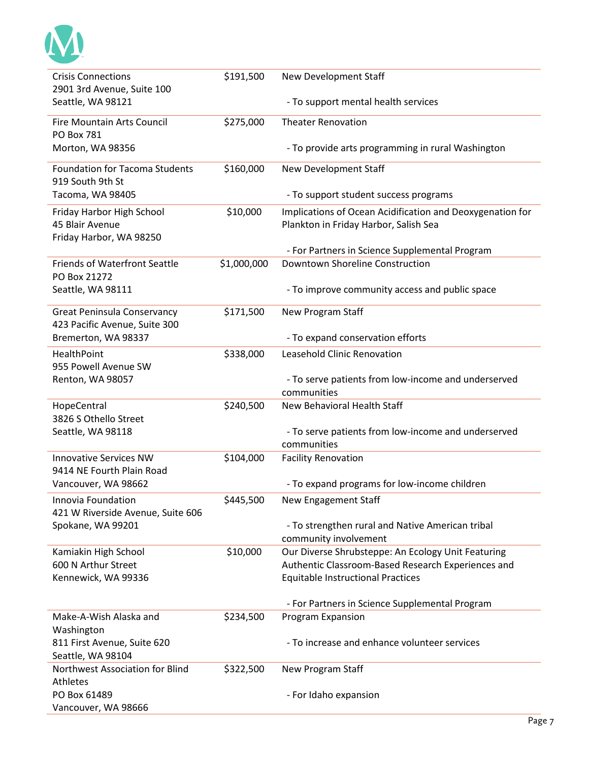

| <b>Crisis Connections</b>                                           | \$191,500   | New Development Staff                                                     |
|---------------------------------------------------------------------|-------------|---------------------------------------------------------------------------|
| 2901 3rd Avenue, Suite 100                                          |             |                                                                           |
| Seattle, WA 98121                                                   |             | - To support mental health services                                       |
| <b>Fire Mountain Arts Council</b><br><b>PO Box 781</b>              | \$275,000   | <b>Theater Renovation</b>                                                 |
| Morton, WA 98356                                                    |             | - To provide arts programming in rural Washington                         |
| <b>Foundation for Tacoma Students</b><br>919 South 9th St           | \$160,000   | New Development Staff                                                     |
| Tacoma, WA 98405                                                    |             | - To support student success programs                                     |
| Friday Harbor High School                                           | \$10,000    | Implications of Ocean Acidification and Deoxygenation for                 |
| 45 Blair Avenue                                                     |             | Plankton in Friday Harbor, Salish Sea                                     |
| Friday Harbor, WA 98250                                             |             |                                                                           |
|                                                                     |             | - For Partners in Science Supplemental Program                            |
| <b>Friends of Waterfront Seattle</b><br>PO Box 21272                | \$1,000,000 | Downtown Shoreline Construction                                           |
| Seattle, WA 98111                                                   |             | - To improve community access and public space                            |
| <b>Great Peninsula Conservancy</b><br>423 Pacific Avenue, Suite 300 | \$171,500   | New Program Staff                                                         |
| Bremerton, WA 98337                                                 |             | - To expand conservation efforts                                          |
| HealthPoint<br>955 Powell Avenue SW                                 | \$338,000   | Leasehold Clinic Renovation                                               |
| Renton, WA 98057                                                    |             | - To serve patients from low-income and underserved                       |
|                                                                     |             | communities                                                               |
| HopeCentral<br>3826 S Othello Street                                | \$240,500   | New Behavioral Health Staff                                               |
| Seattle, WA 98118                                                   |             | - To serve patients from low-income and underserved                       |
|                                                                     |             | communities                                                               |
| <b>Innovative Services NW</b><br>9414 NE Fourth Plain Road          | \$104,000   | <b>Facility Renovation</b>                                                |
| Vancouver, WA 98662                                                 |             | - To expand programs for low-income children                              |
| Innovia Foundation<br>421 W Riverside Avenue, Suite 606             | \$445,500   | New Engagement Staff                                                      |
| Spokane, WA 99201                                                   |             | - To strengthen rural and Native American tribal<br>community involvement |
| Kamiakin High School                                                | \$10,000    | Our Diverse Shrubsteppe: An Ecology Unit Featuring                        |
| 600 N Arthur Street                                                 |             | Authentic Classroom-Based Research Experiences and                        |
| Kennewick, WA 99336                                                 |             | <b>Equitable Instructional Practices</b>                                  |
|                                                                     |             |                                                                           |
|                                                                     |             | - For Partners in Science Supplemental Program                            |
| Make-A-Wish Alaska and<br>Washington                                | \$234,500   | Program Expansion                                                         |
| 811 First Avenue, Suite 620                                         |             | - To increase and enhance volunteer services                              |
| Seattle, WA 98104                                                   |             |                                                                           |
| Northwest Association for Blind                                     | \$322,500   | New Program Staff                                                         |
| <b>Athletes</b>                                                     |             |                                                                           |
| PO Box 61489                                                        |             | - For Idaho expansion                                                     |
| Vancouver, WA 98666                                                 |             |                                                                           |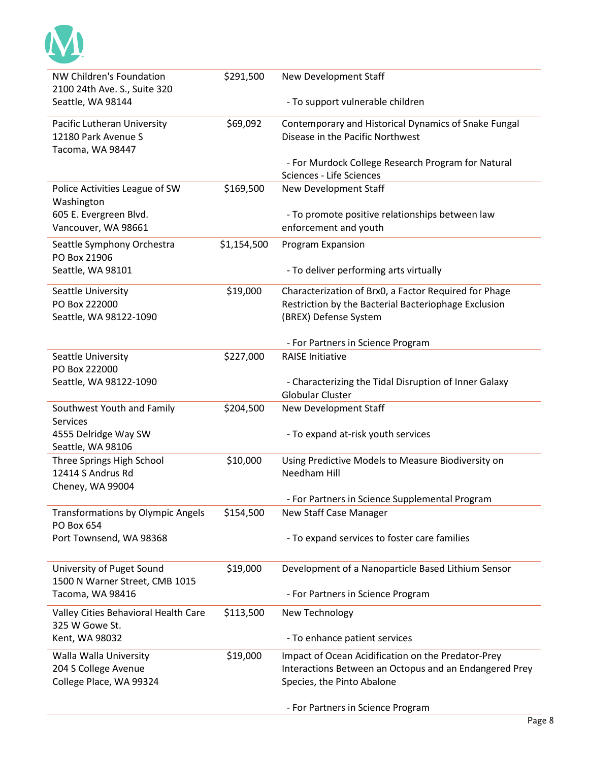

| NW Children's Foundation                       | \$291,500   | New Development Staff                                                                                         |
|------------------------------------------------|-------------|---------------------------------------------------------------------------------------------------------------|
| 2100 24th Ave. S., Suite 320                   |             |                                                                                                               |
| Seattle, WA 98144                              |             | - To support vulnerable children                                                                              |
| Pacific Lutheran University                    | \$69,092    | Contemporary and Historical Dynamics of Snake Fungal                                                          |
| 12180 Park Avenue S                            |             | Disease in the Pacific Northwest                                                                              |
| Tacoma, WA 98447                               |             | - For Murdock College Research Program for Natural                                                            |
|                                                |             | Sciences - Life Sciences                                                                                      |
| Police Activities League of SW                 | \$169,500   | New Development Staff                                                                                         |
| Washington                                     |             |                                                                                                               |
| 605 E. Evergreen Blvd.                         |             | - To promote positive relationships between law                                                               |
| Vancouver, WA 98661                            |             | enforcement and youth                                                                                         |
| Seattle Symphony Orchestra<br>PO Box 21906     | \$1,154,500 | Program Expansion                                                                                             |
| Seattle, WA 98101                              |             | - To deliver performing arts virtually                                                                        |
|                                                |             |                                                                                                               |
| Seattle University<br>PO Box 222000            | \$19,000    | Characterization of Brx0, a Factor Required for Phage<br>Restriction by the Bacterial Bacteriophage Exclusion |
| Seattle, WA 98122-1090                         |             | (BREX) Defense System                                                                                         |
|                                                |             |                                                                                                               |
|                                                |             | - For Partners in Science Program                                                                             |
| Seattle University                             | \$227,000   | <b>RAISE Initiative</b>                                                                                       |
| PO Box 222000                                  |             |                                                                                                               |
| Seattle, WA 98122-1090                         |             | - Characterizing the Tidal Disruption of Inner Galaxy<br><b>Globular Cluster</b>                              |
| Southwest Youth and Family                     | \$204,500   | New Development Staff                                                                                         |
| <b>Services</b>                                |             |                                                                                                               |
| 4555 Delridge Way SW                           |             | - To expand at-risk youth services                                                                            |
| Seattle, WA 98106                              |             |                                                                                                               |
| Three Springs High School<br>12414 S Andrus Rd | \$10,000    | Using Predictive Models to Measure Biodiversity on<br>Needham Hill                                            |
| Cheney, WA 99004                               |             |                                                                                                               |
|                                                |             | For Partners in Science Supplemental Program                                                                  |
| <b>Transformations by Olympic Angels</b>       | \$154,500   | <b>New Staff Case Manager</b>                                                                                 |
| PO Box 654                                     |             |                                                                                                               |
| Port Townsend, WA 98368                        |             | - To expand services to foster care families                                                                  |
| University of Puget Sound                      | \$19,000    | Development of a Nanoparticle Based Lithium Sensor                                                            |
| 1500 N Warner Street, CMB 1015                 |             |                                                                                                               |
| Tacoma, WA 98416                               |             | - For Partners in Science Program                                                                             |
| Valley Cities Behavioral Health Care           | \$113,500   | New Technology                                                                                                |
| 325 W Gowe St.                                 |             |                                                                                                               |
| Kent, WA 98032                                 |             | - To enhance patient services                                                                                 |
| Walla Walla University                         | \$19,000    | Impact of Ocean Acidification on the Predator-Prey                                                            |
| 204 S College Avenue                           |             | Interactions Between an Octopus and an Endangered Prey                                                        |
| College Place, WA 99324                        |             | Species, the Pinto Abalone                                                                                    |
|                                                |             | - For Partners in Science Program                                                                             |